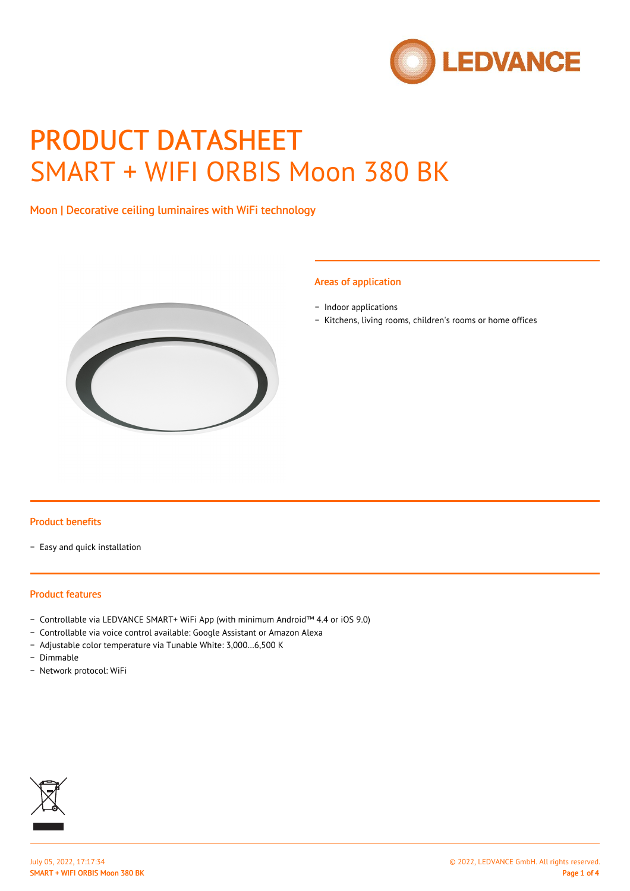

# PRODUCT DATASHEET SMART + WIFI ORBIS Moon 380 BK

# Moon | Decorative ceiling luminaires with WiFi technology



#### Areas of application

- − Indoor applications
- − Kitchens, living rooms, children's rooms or home offices

#### Product benefits

− Easy and quick installation

#### Product features

- − Controllable via LEDVANCE SMART+ WiFi App (with minimum Android™ 4.4 or iOS 9.0)
- − Controllable via voice control available: Google Assistant or Amazon Alexa
- − Adjustable color temperature via Tunable White: 3,000…6,500 K
- − Dimmable
- − Network protocol: WiFi

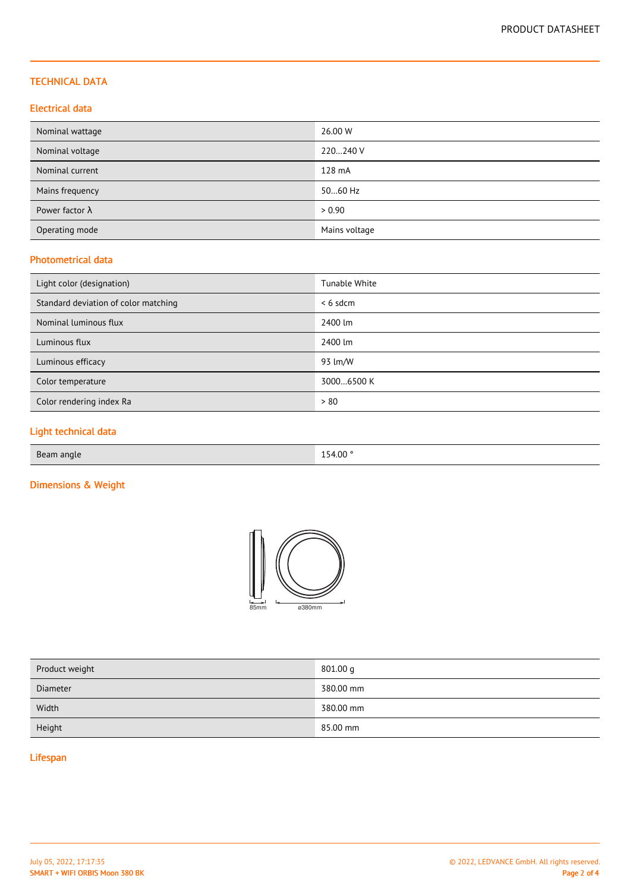## TECHNICAL DATA

## Electrical data

| Nominal wattage        | 26.00 W       |
|------------------------|---------------|
| Nominal voltage        | 220240 V      |
| Nominal current        | 128 mA        |
| Mains frequency        | 5060 Hz       |
| Power factor $\lambda$ | > 0.90        |
| Operating mode         | Mains voltage |

## Photometrical data

| Light color (designation)            | Tunable White |
|--------------------------------------|---------------|
| Standard deviation of color matching | $< 6$ sdcm    |
| Nominal luminous flux                | 2400 lm       |
| Luminous flux                        | 2400 lm       |
| Luminous efficacy                    | 93 lm/W       |
| Color temperature                    | 30006500 K    |
| Color rendering index Ra             | > 80          |

# Light technical data

| Beam angle | 154.00° |
|------------|---------|
|            |         |

# Dimensions & Weight



| Product weight | 801.00 g  |
|----------------|-----------|
| Diameter       | 380.00 mm |
| Width          | 380.00 mm |
| Height         | 85.00 mm  |

# Lifespan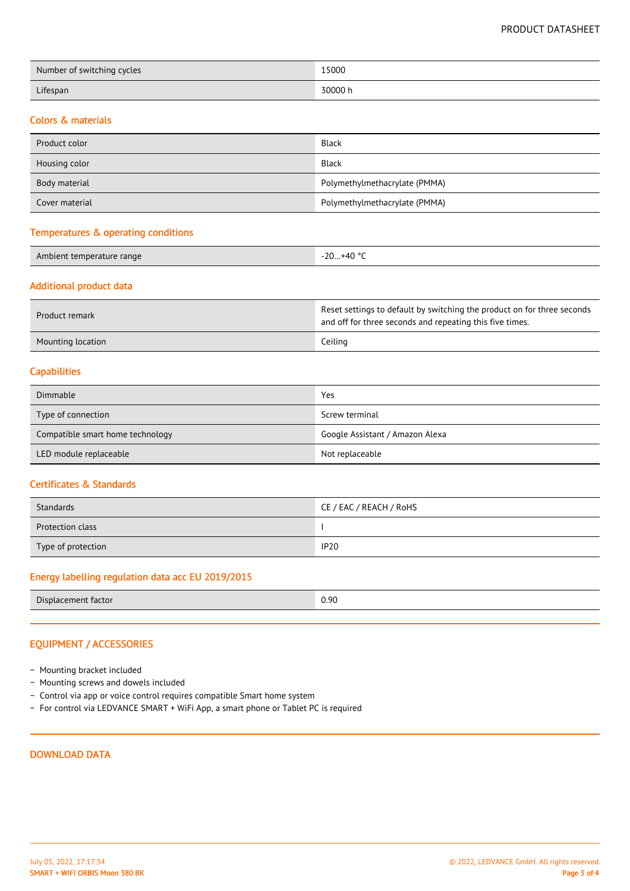PRODUCT DATASHEET

| Number of switching cycles | 15000   |
|----------------------------|---------|
| Lifespan                   | 30000 h |

#### Colors & materials

| Product color  | <b>Black</b>                  |
|----------------|-------------------------------|
| Housing color  | <b>Black</b>                  |
| Body material  | Polymethylmethacrylate (PMMA) |
| Cover material | Polymethylmethacrylate (PMMA) |

#### Temperatures & operating conditions

| Aml<br>ibient temperature range. | 1000<br>$-20$<br>+41<br>⊤∪<br>∠∪… |
|----------------------------------|-----------------------------------|
|                                  |                                   |

## Additional product data

| Product remark    | Reset settings to default by switching the product on for three seconds<br>and off for three seconds and repeating this five times. |
|-------------------|-------------------------------------------------------------------------------------------------------------------------------------|
| Mounting location | Ceiling                                                                                                                             |

#### **Capabilities**

| Dimmable                         | Yes                             |
|----------------------------------|---------------------------------|
| Type of connection               | Screw terminal                  |
| Compatible smart home technology | Google Assistant / Amazon Alexa |
| LED module replaceable           | Not replaceable                 |

#### Certificates & Standards

| Standards          | CE / EAC / REACH / RoHS |
|--------------------|-------------------------|
| Protection class   |                         |
| Type of protection | <b>IP20</b>             |

# Energy labelling regulation data acc EU 2019/2015

|--|

## EQUIPMENT / ACCESSORIES

- − Mounting bracket included
- − Mounting screws and dowels included
- − Control via app or voice control requires compatible Smart home system
- − For control via LEDVANCE SMART + WiFi App, a smart phone or Tablet PC is required

## DOWNLOAD DATA